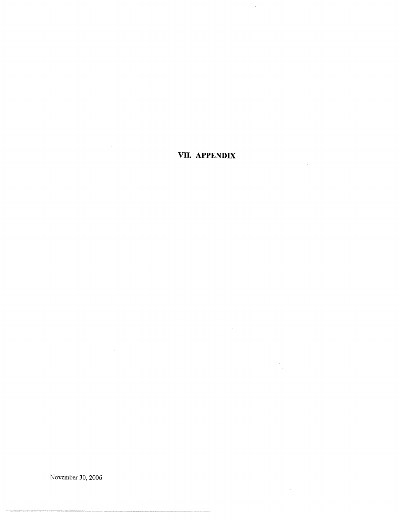# VII. APPENDIX

November 30, 2006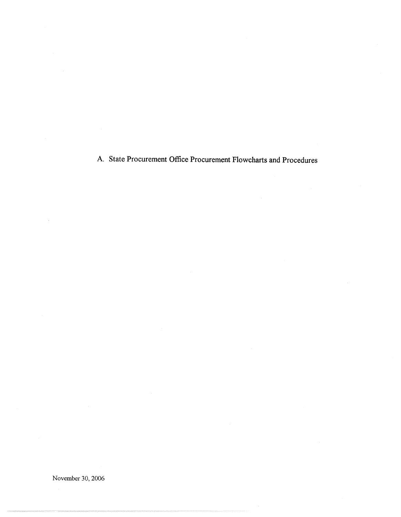A. State Procurement Office Procurement Flowcharts and Procedures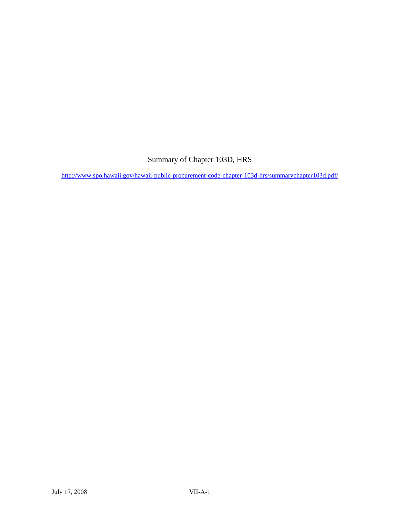## Summary of Chapter 103D, HRS

<http://www.spo.hawaii.gov/hawaii-public-procurement-code-chapter-103d-hrs/summarychapter103d.pdf/>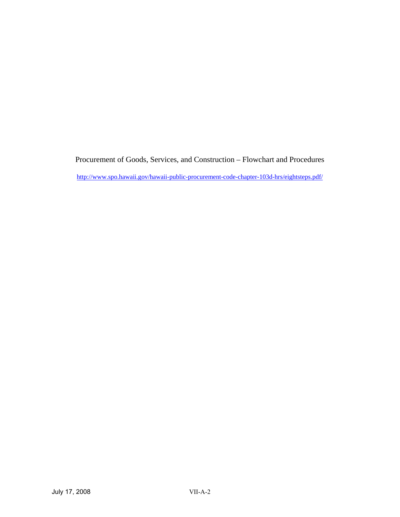Procurement of Goods, Services, and Construction – Flowchart and Procedures <http://www.spo.hawaii.gov/hawaii-public-procurement-code-chapter-103d-hrs/eightsteps.pdf/>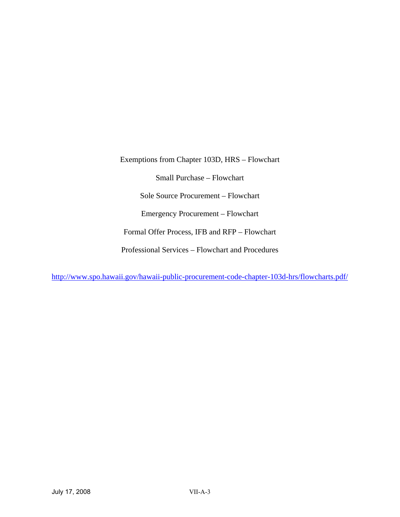Exemptions from Chapter 103D, HRS – Flowchart Small Purchase – Flowchart Sole Source Procurement – Flowchart Emergency Procurement – Flowchart Formal Offer Process, IFB and RFP – Flowchart Professional Services – Flowchart and Procedures

<http://www.spo.hawaii.gov/hawaii-public-procurement-code-chapter-103d-hrs/flowcharts.pdf/>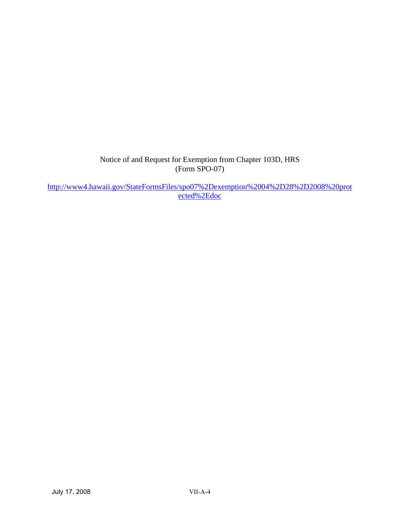Notice of and Request for Exemption from Chapter 103D, HRS (Form SPO-07)

[http://www4.hawaii.gov/StateFormsFiles/spo07%2Dexemption%2004%2D28%2D2008%20prot](http://www4.hawaii.gov/StateFormsFiles/spo07%2Dexemption%2004%2D28%2D2008%20protected%2Edoc) [ected%2Edoc](http://www4.hawaii.gov/StateFormsFiles/spo07%2Dexemption%2004%2D28%2D2008%20protected%2Edoc)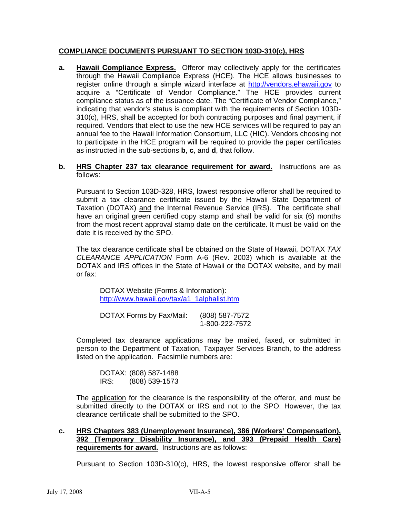### **COMPLIANCE DOCUMENTS PURSUANT TO SECTION 103D-310(c), HRS**

**a. Hawaii Compliance Express.** Offeror may collectively apply for the certificates through the Hawaii Compliance Express (HCE). The HCE allows businesses to register online through a simple wizard interface at http://vendors.ehawaii.gov to acquire a "Certificate of Vendor Compliance." The HCE provides current compliance status as of the issuance date. The "Certificate of Vendor Compliance," indicating that vendor's status is compliant with the requirements of Section 103D-310(c), HRS, shall be accepted for both contracting purposes and final payment, if required. Vendors that elect to use the new HCE services will be required to pay an annual fee to the Hawaii Information Consortium, LLC (HIC). Vendors choosing not to participate in the HCE program will be required to provide the paper certificates as instructed in the sub-sections **b**, **c**, and **d**, that follow.

#### **b. HRS Chapter 237 tax clearance requirement for award.** Instructions are as follows:

Pursuant to Section 103D-328, HRS, lowest responsive offeror shall be required to submit a tax clearance certificate issued by the Hawaii State Department of Taxation (DOTAX) and the Internal Revenue Service (IRS). The certificate shall have an original green certified copy stamp and shall be valid for six (6) months from the most recent approval stamp date on the certificate. It must be valid on the date it is received by the SPO.

The tax clearance certificate shall be obtained on the State of Hawaii, DOTAX *TAX CLEARANCE APPLICATION* Form A-6 (Rev. 2003) which is available at the DOTAX and IRS offices in the State of Hawaii or the DOTAX website, and by mail or fax:

DOTAX Website (Forms & Information): http://www.hawaii.gov/tax/a1\_1alphalist.htm

DOTAX Forms by Fax/Mail: (808) 587-7572 1-800-222-7572

Completed tax clearance applications may be mailed, faxed, or submitted in person to the Department of Taxation, Taxpayer Services Branch, to the address listed on the application. Facsimile numbers are:

 DOTAX: (808) 587-1488 IRS: (808) 539-1573

The application for the clearance is the responsibility of the offeror, and must be submitted directly to the DOTAX or IRS and not to the SPO. However, the tax clearance certificate shall be submitted to the SPO.

### **c. HRS Chapters 383 (Unemployment Insurance), 386 (Workers' Compensation), 392 (Temporary Disability Insurance), and 393 (Prepaid Health Care) requirements for award.** Instructions are as follows:

Pursuant to Section 103D-310(c), HRS, the lowest responsive offeror shall be